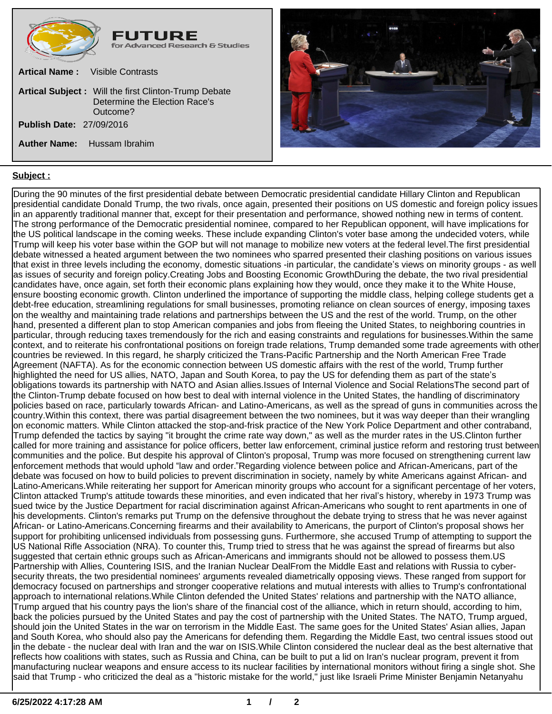



## **Subject :**

During the 90 minutes of the first presidential debate between Democratic presidential candidate Hillary Clinton and Republican presidential candidate Donald Trump, the two rivals, once again, presented their positions on US domestic and foreign policy issues in an apparently traditional manner that, except for their presentation and performance, showed nothing new in terms of content. The strong performance of the Democratic presidential nominee, compared to her Republican opponent, will have implications for the US political landscape in the coming weeks. These include expanding Clinton's voter base among the undecided voters, while Trump will keep his voter base within the GOP but will not manage to mobilize new voters at the federal level.The first presidential debate witnessed a heated argument between the two nominees who sparred presented their clashing positions on various issues that exist in three levels including the economy, domestic situations -in particular, the candidate's views on minority groups - as well as issues of security and foreign policy.Creating Jobs and Boosting Economic GrowthDuring the debate, the two rival presidential candidates have, once again, set forth their economic plans explaining how they would, once they make it to the White House, ensure boosting economic growth. Clinton underlined the importance of supporting the middle class, helping college students get a debt-free education, streamlining regulations for small businesses, promoting reliance on clean sources of energy, imposing taxes on the wealthy and maintaining trade relations and partnerships between the US and the rest of the world. Trump, on the other hand, presented a different plan to stop American companies and jobs from fleeing the United States, to neighboring countries in particular, through reducing taxes tremendously for the rich and easing constraints and regulations for businesses.Within the same context, and to reiterate his confrontational positions on foreign trade relations, Trump demanded some trade agreements with other countries be reviewed. In this regard, he sharply criticized the Trans-Pacific Partnership and the North American Free Trade Agreement (NAFTA). As for the economic connection between US domestic affairs with the rest of the world, Trump further highlighted the need for US allies, NATO, Japan and South Korea, to pay the US for defending them as part of the state's obligations towards its partnership with NATO and Asian allies.Issues of Internal Violence and Social RelationsThe second part of the Clinton-Trump debate focused on how best to deal with internal violence in the United States, the handling of discriminatory policies based on race, particularly towards African- and Latino-Americans, as well as the spread of guns in communities across the country.Within this context, there was partial disagreement between the two nominees, but it was way deeper than their wrangling on economic matters. While Clinton attacked the stop-and-frisk practice of the New York Police Department and other contraband, Trump defended the tactics by saying "it brought the crime rate way down," as well as the murder rates in the US.Clinton further called for more training and assistance for police officers, better law enforcement, criminal justice reform and restoring trust between communities and the police. But despite his approval of Clinton's proposal, Trump was more focused on strengthening current law enforcement methods that would uphold "law and order."Regarding violence between police and African-Americans, part of the debate was focused on how to build policies to prevent discrimination in society, namely by white Americans against African- and Latino-Americans.While reiterating her support for American minority groups who account for a significant percentage of her voters, Clinton attacked Trump's attitude towards these minorities, and even indicated that her rival's history, whereby in 1973 Trump was sued twice by the Justice Department for racial discrimination against African-Americans who sought to rent apartments in one of his developments. Clinton's remarks put Trump on the defensive throughout the debate trying to stress that he was never against African- or Latino-Americans.Concerning firearms and their availability to Americans, the purport of Clinton's proposal shows her support for prohibiting unlicensed individuals from possessing guns. Furthermore, she accused Trump of attempting to support the US National Rifle Association (NRA). To counter this, Trump tried to stress that he was against the spread of firearms but also suggested that certain ethnic groups such as African-Americans and immigrants should not be allowed to possess them.US Partnership with Allies, Countering ISIS, and the Iranian Nuclear DealFrom the Middle East and relations with Russia to cybersecurity threats, the two presidential nominees' arguments revealed diametrically opposing views. These ranged from support for democracy focused on partnerships and stronger cooperative relations and mutual interests with allies to Trump's confrontational approach to international relations.While Clinton defended the United States' relations and partnership with the NATO alliance, Trump argued that his country pays the lion's share of the financial cost of the alliance, which in return should, according to him, back the policies pursued by the United States and pay the cost of partnership with the United States. The NATO, Trump argued, should join the United States in the war on terrorism in the Middle East. The same goes for the United States' Asian allies, Japan and South Korea, who should also pay the Americans for defending them. Regarding the Middle East, two central issues stood out in the debate - the nuclear deal with Iran and the war on ISIS.While Clinton considered the nuclear deal as the best alternative that reflects how coalitions with states, such as Russia and China, can be built to put a lid on Iran's nuclear program, prevent it from manufacturing nuclear weapons and ensure access to its nuclear facilities by international monitors without firing a single shot. She said that Trump - who criticized the deal as a "historic mistake for the world," just like Israeli Prime Minister Benjamin Netanyahu